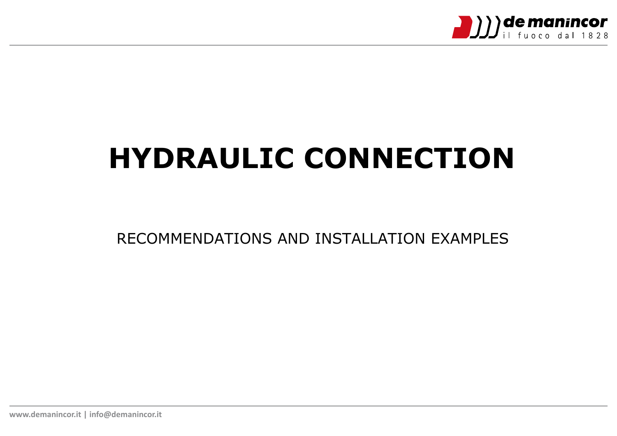

# **HYDRAULIC CONNECTION**

RECOMMENDATIONS AND INSTALLATION EXAMPLES

**www.demanincor.it | info@demanincor.it**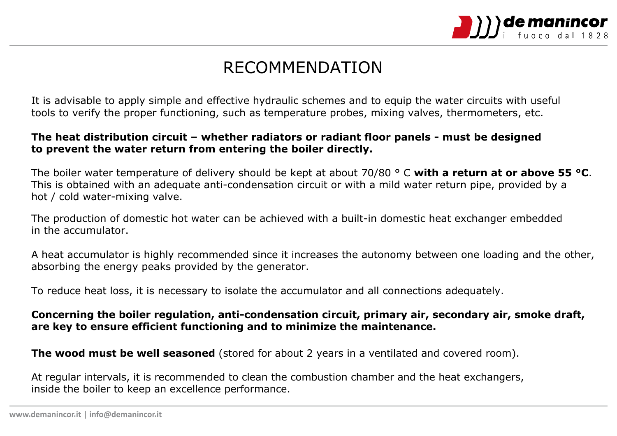

## RECOMMENDATION

It is advisable to apply simple and effective hydraulic schemes and to equip the water circuits with useful tools to verify the proper functioning, such as temperature probes, mixing valves, thermometers, etc.

#### **The heat distribution circuit – whether radiators or radiant floor panels - must be designed to prevent the water return from entering the boiler directly.**

The boiler water temperature of delivery should be kept at about 70/80 ° C **with a return at or above 55 °C**. This is obtained with an adequate anti-condensation circuit or with a mild water return pipe, provided by a hot / cold water-mixing valve.

The production of domestic hot water can be achieved with a built-in domestic heat exchanger embedded in the accumulator.

A heat accumulator is highly recommended since it increases the autonomy between one loading and the other, absorbing the energy peaks provided by the generator.

To reduce heat loss, it is necessary to isolate the accumulator and all connections adequately.

#### **Concerning the boiler regulation, anti-condensation circuit, primary air, secondary air, smoke draft, are key to ensure efficient functioning and to minimize the maintenance.**

**The wood must be well seasoned** (stored for about 2 years in a ventilated and covered room).

At regular intervals, it is recommended to clean the combustion chamber and the heat exchangers, inside the boiler to keep an excellence performance.